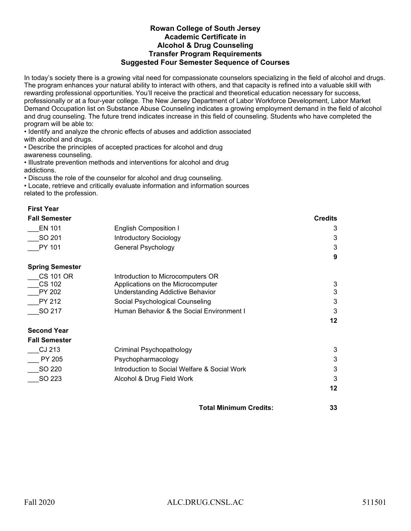## **Rowan College of South Jersey Academic Certificate in Alcohol & Drug Counseling Transfer Program Requirements Suggested Four Semester Sequence of Courses**

In today's society there is a growing vital need for compassionate counselors specializing in the field of alcohol and drugs. The program enhances your natural ability to interact with others, and that capacity is refined into a valuable skill with rewarding professional opportunities. You'll receive the practical and theoretical education necessary for success, professionally or at a four-year college. The New Jersey Department of Labor Workforce Development, Labor Market Demand Occupation list on Substance Abuse Counseling indicates a growing employment demand in the field of alcohol and drug counseling. The future trend indicates increase in this field of counseling. Students who have completed the program will be able to:

• Identify and analyze the chronic effects of abuses and addiction associated with alcohol and drugs.

• Describe the principles of accepted practices for alcohol and drug awareness counseling.

• Illustrate prevention methods and interventions for alcohol and drug addictions.

• Discuss the role of the counselor for alcohol and drug counseling.

• Locate, retrieve and critically evaluate information and information sources related to the profession.

| <b>First Year</b>      |                                              |                |
|------------------------|----------------------------------------------|----------------|
| <b>Fall Semester</b>   |                                              | <b>Credits</b> |
| <b>EN 101</b>          | <b>English Composition I</b>                 | 3              |
| SO 201                 | <b>Introductory Sociology</b>                | 3              |
| PY 101                 | General Psychology                           | 3              |
|                        |                                              | 9              |
| <b>Spring Semester</b> |                                              |                |
| <b>CS 101 OR</b>       | Introduction to Microcomputers OR            |                |
| <b>CS 102</b>          | Applications on the Microcomputer            | 3              |
| PY 202                 | <b>Understanding Addictive Behavior</b>      | $\mathbf{3}$   |
| PY 212                 | Social Psychological Counseling              | 3              |
| SO 217                 | Human Behavior & the Social Environment I    | 3              |
|                        |                                              | 12             |
| <b>Second Year</b>     |                                              |                |
| <b>Fall Semester</b>   |                                              |                |
| CJ 213                 | Criminal Psychopathology                     | 3              |
| PY 205                 | Psychopharmacology                           | 3              |
| SO 220                 | Introduction to Social Welfare & Social Work | 3              |
| SO 223                 | Alcohol & Drug Field Work                    | 3              |
|                        |                                              | 12             |
|                        | <b>Total Minimum Credits:</b>                | 33             |